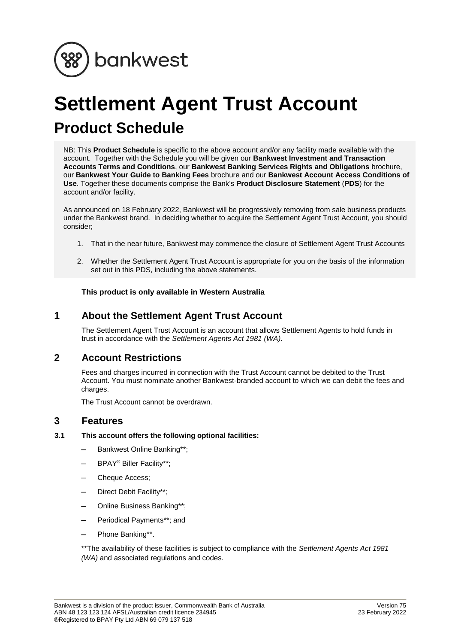

# **Settlement Agent Trust Account Product Schedule**

NB: This **Product Schedule** is specific to the above account and/or any facility made available with the account. Together with the Schedule you will be given our **Bankwest Investment and Transaction Accounts Terms and Conditions**, our **Bankwest Banking Services Rights and Obligations** brochure, our **Bankwest Your Guide to Banking Fees** brochure and our **Bankwest Account Access Conditions of Use**. Together these documents comprise the Bank's **Product Disclosure Statement** (**PDS**) for the account and/or facility.

As announced on 18 February 2022, Bankwest will be progressively removing from sale business products under the Bankwest brand. In deciding whether to acquire the Settlement Agent Trust Account, you should consider;

- 1. That in the near future, Bankwest may commence the closure of Settlement Agent Trust Accounts
- 2. Whether the Settlement Agent Trust Account is appropriate for you on the basis of the information set out in this PDS, including the above statements.

**This product is only available in Western Australia**

# **1 About the Settlement Agent Trust Account**

The Settlement Agent Trust Account is an account that allows Settlement Agents to hold funds in trust in accordance with the *Settlement Agents Act 1981 (WA)*.

# **2 Account Restrictions**

Fees and charges incurred in connection with the Trust Account cannot be debited to the Trust Account. You must nominate another Bankwest-branded account to which we can debit the fees and charges.

The Trust Account cannot be overdrawn.

# **3 Features**

## **3.1 This account offers the following optional facilities:**

- Bankwest Online Banking\*\*;
- BPAY® Biller Facility\*\*;
- Cheque Access;
- Direct Debit Facility\*\*;
- Online Business Banking\*\*;
- Periodical Payments\*\*; and
- Phone Banking\*\*.

\*\*The availability of these facilities is subject to compliance with the *Settlement Agents Act 1981 (WA)* and associated regulations and codes.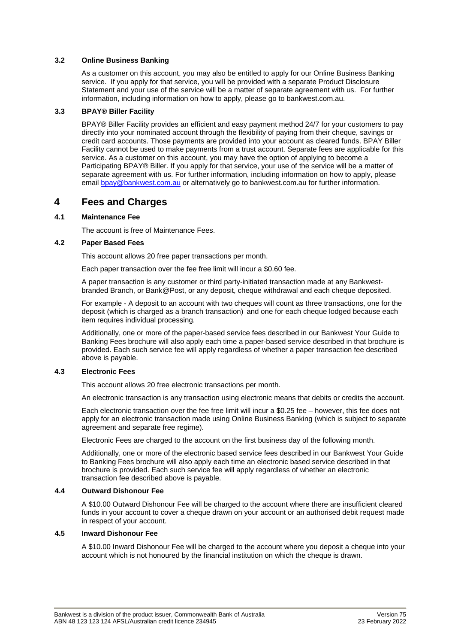## **3.2 Online Business Banking**

As a customer on this account, you may also be entitled to apply for our Online Business Banking service. If you apply for that service, you will be provided with a separate Product Disclosure Statement and your use of the service will be a matter of separate agreement with us. For further information, including information on how to apply, please go to bankwest.com.au.

## **3.3 BPAY® Biller Facility**

BPAY® Biller Facility provides an efficient and easy payment method 24/7 for your customers to pay directly into your nominated account through the flexibility of paying from their cheque, savings or credit card accounts. Those payments are provided into your account as cleared funds. BPAY Biller Facility cannot be used to make payments from a trust account. Separate fees are applicable for this service. As a customer on this account, you may have the option of applying to become a Participating BPAY® Biller. If you apply for that service, your use of the service will be a matter of separate agreement with us. For further information, including information on how to apply, please email [bpay@bankwest.com.au](mailto:bpay@bankwest.com.au) or alternatively go to bankwest.com.au for further information.

# **4 Fees and Charges**

## **4.1 Maintenance Fee**

The account is free of Maintenance Fees.

#### **4.2 Paper Based Fees**

This account allows 20 free paper transactions per month.

Each paper transaction over the fee free limit will incur a \$0.60 fee.

A paper transaction is any customer or third party-initiated transaction made at any Bankwestbranded Branch, or Bank@Post, or any deposit, cheque withdrawal and each cheque deposited.

For example - A deposit to an account with two cheques will count as three transactions, one for the deposit (which is charged as a branch transaction) and one for each cheque lodged because each item requires individual processing.

Additionally, one or more of the paper-based service fees described in our Bankwest Your Guide to Banking Fees brochure will also apply each time a paper-based service described in that brochure is provided. Each such service fee will apply regardless of whether a paper transaction fee described above is payable.

#### **4.3 Electronic Fees**

This account allows 20 free electronic transactions per month.

An electronic transaction is any transaction using electronic means that debits or credits the account.

Each electronic transaction over the fee free limit will incur a \$0.25 fee – however, this fee does not apply for an electronic transaction made using Online Business Banking (which is subject to separate agreement and separate free regime).

Electronic Fees are charged to the account on the first business day of the following month.

Additionally, one or more of the electronic based service fees described in our Bankwest Your Guide to Banking Fees brochure will also apply each time an electronic based service described in that brochure is provided. Each such service fee will apply regardless of whether an electronic transaction fee described above is payable.

#### **4.4 Outward Dishonour Fee**

A \$10.00 Outward Dishonour Fee will be charged to the account where there are insufficient cleared funds in your account to cover a cheque drawn on your account or an authorised debit request made in respect of your account.

### **4.5 Inward Dishonour Fee**

A \$10.00 Inward Dishonour Fee will be charged to the account where you deposit a cheque into your account which is not honoured by the financial institution on which the cheque is drawn.